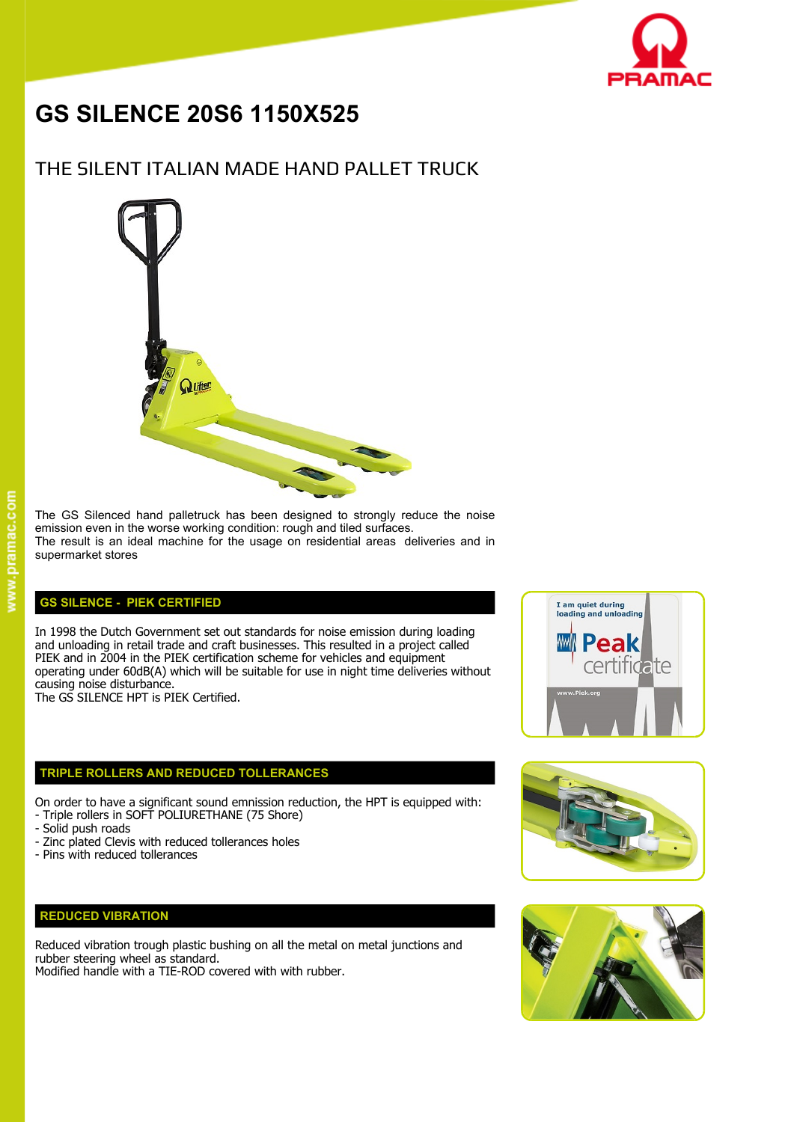

# **GS SILENCE 20S6 1150X525**

## THE SILENT ITALIAN MADE HAND PALLET TRUCK



#### The GS Silenced hand palletruck has been designed to strongly reduce the noise emission even in the worse working condition: rough and tiled surfaces. The result is an ideal machine for the usage on residential areas deliveries and in supermarket stores

#### **GS SILENCE - PIEK CERTIFIED**

In 1998 the Dutch Government set out standards for noise emission during loading<br>and unloading in retail trade and craft businesses. This resulted in a project called and unloading in retail trade and craft businesses. This resulted in a project called PIEK and in 2004 in the PIEK certification scheme for vehicles and equipment PIEK and in 2004 in the PIEK certification scheme for vehicles and equipment<br>operating under 60dB(A) which will be suitable for use in night time deliveries without causing noise disturbance.

The GS SILENCE HPT is PIEK Certified.

#### **TRIPLE ROLLERS AND REDUCED TOLLERANCES**

On order to have a significant sound emnission reduction, the HPT is equipped with: - Triple rollers in SOFT POLIURETHANE (75 Shore)

- Solid push roads
- Zinc plated Clevis with reduced tollerances holes
- Pins with reduced tollerances

### **REDUCED VIBRATION**

Reduced vibration trough plastic bushing on all the metal on metal junctions and rubber steering wheel as standard.

Modified handle with a TIE-ROD covered with with rubber.





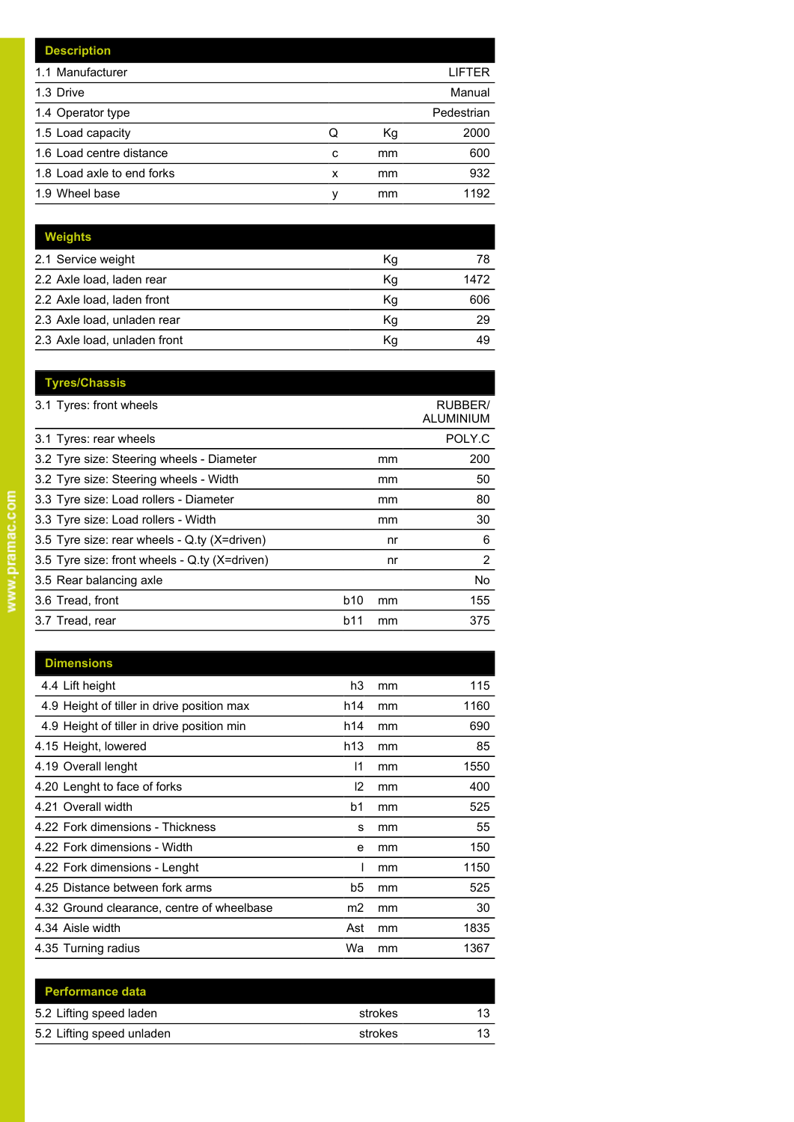|                  | LIFTER     |
|------------------|------------|
|                  | Manual     |
|                  | Pedestrian |
| Кg               | 2000       |
| mm               | 600        |
| mm               | 932        |
| mm               | 1192       |
| Q<br>c<br>x<br>ν |            |

| Weights                      |    |      |
|------------------------------|----|------|
| 2.1 Service weight           | Кg | 78   |
| 2.2 Axle load, laden rear    | Kg | 1472 |
| 2.2 Axle load, laden front   | Kg | 606  |
| 2.3 Axle load, unladen rear  | Kg | 29   |
| 2.3 Axle load, unladen front | Kg | 49   |

| <b>Tyres/Chassis</b>                          |                  |                             |
|-----------------------------------------------|------------------|-----------------------------|
| 3.1 Tyres: front wheels                       |                  | <b>RUBBER/</b><br>ALUMINIUM |
| 3.1 Tyres: rear wheels                        |                  | POLY.C                      |
| 3.2 Tyre size: Steering wheels - Diameter     | mm               | 200                         |
| 3.2 Tyre size: Steering wheels - Width        | mm               | 50                          |
| 3.3 Tyre size: Load rollers - Diameter        | mm               | 80                          |
| 3.3 Tyre size: Load rollers - Width           | mm               | 30                          |
| 3.5 Tyre size: rear wheels - Q.ty (X=driven)  | nr               | 6                           |
| 3.5 Tyre size: front wheels - Q.ty (X=driven) | nr               | 2                           |
| 3.5 Rear balancing axle                       |                  | No.                         |
| 3.6 Tread, front                              | b10<br>mm        | 155                         |
| 3.7 Tread, rear                               | <b>b11</b><br>mm | 375                         |
|                                               |                  |                             |

| <b>Dimensions</b>                          |     |    |      |
|--------------------------------------------|-----|----|------|
| 4.4 Lift height                            | h3  | mm | 115  |
| 4.9 Height of tiller in drive position max | h14 | mm | 1160 |
| 4.9 Height of tiller in drive position min | h14 | mm | 690  |
| 4.15 Height, lowered                       | h13 | mm | 85   |
| 4.19 Overall lenght                        | 11  | mm | 1550 |
| 4.20 Lenght to face of forks               | 12  | mm | 400  |
| 4.21 Overall width                         | b1  | mm | 525  |
| 4.22 Fork dimensions - Thickness           | s   | mm | 55   |
| 4.22 Fork dimensions - Width               | e   | mm | 150  |
| 4.22 Fork dimensions - Lenght              |     | mm | 1150 |
| 4.25 Distance between fork arms            | b5  | mm | 525  |
| 4.32 Ground clearance, centre of wheelbase | m2  | mm | 30   |
| 4.34 Aisle width                           | Ast | mm | 1835 |
| 4.35 Turning radius                        | Wa  | mm | 1367 |

| strokes |  |
|---------|--|
| strokes |  |
|         |  |